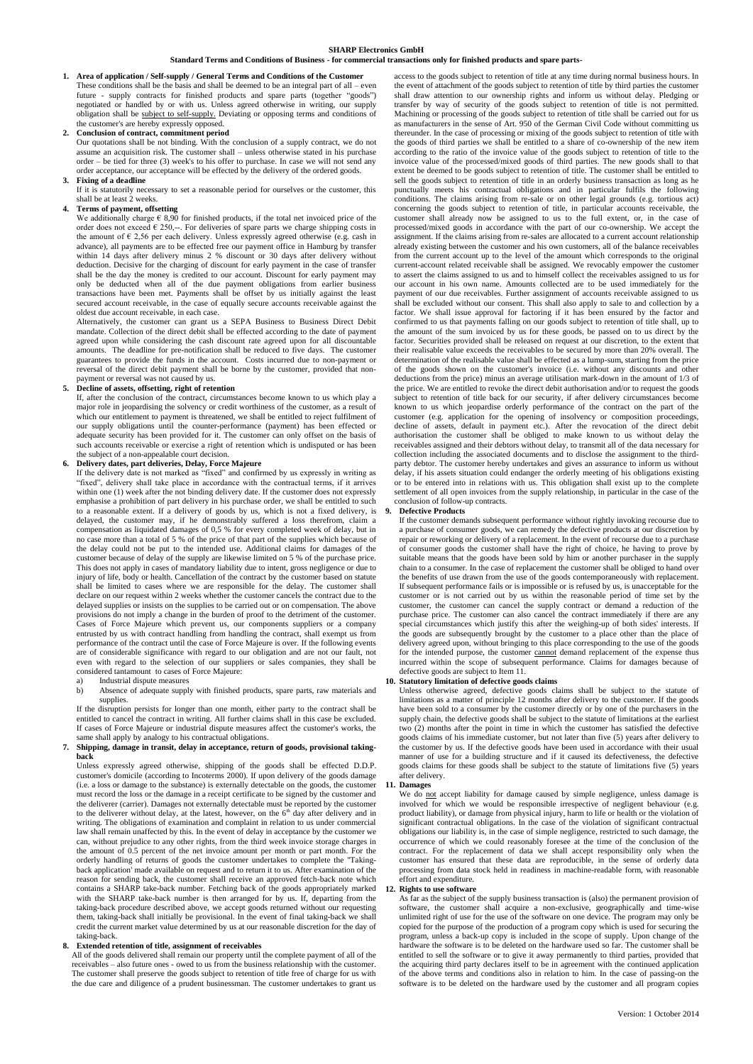## **SHARP Electronics GmbH**

# **Standard Terms and Conditions of Business - for commercial transactions only for finished products and spare parts-**

**1. Area of application / Self-supply / General Terms and Conditions of the Customer** These conditions shall be the basis and shall be deemed to be an integral part of all – even future - supply contracts for finished products and spare parts (together "goods") negotiated or handled by or with us. Unless agreed otherwise in writing, our supply obligation shall be subject to self-supply. Deviating or opposing terms and conditions of the customer's are hereby expressly opposed.

#### **2. Conclusion of contract, commitment period**

Our quotations shall be not binding. With the conclusion of a supply contract, we do not assume an acquisition risk. The customer shall – unless otherwise stated in his purchase order – be tied for three (3) week's to his offer to purchase. In case we will not send any order acceptance, our acceptance will be effected by the delivery of the ordered goods.

### **3. Fixing of a deadline**

If it is statutorily necessary to set a reasonable period for ourselves or the customer, this shall be at least 2 weeks.

## **4. Terms of payment, offsetting**

We additionally charge  $\epsilon$  8.90 for finished products, if the total net invoiced price of the order does not exceed  $\epsilon$  250,--. For deliveries of spare parts we charge shipping costs in the amount of  $\epsilon$  2,56 per each delivery. Unless expressly agreed otherwise (e.g. cash in advance), all payments are to be effected free our payment office in Hamburg by transfer within 14 days after delivery minus 2 % discount or 30 days after delivery without deduction. Decisive for the charging of discount for early payment in the case of transfer shall be the day the money is credited to our account. Discount for early payment may only be deducted when all of the due payment obligations from earlier business transactions have been met. Payments shall be offset by us initially against the least secured account receivable, in the case of equally secure accounts receivable against the oldest due account receivable, in each case.

Alternatively, the customer can grant us a SEPA Business to Business Direct Debit mandate. Collection of the direct debit shall be effected according to the date of payment agreed upon while considering the cash discount rate agreed upon for all discountable amounts. The deadline for pre-notification shall be reduced to five days. The customer guarantees to provide the funds in the account. Costs incurred due to non-payment or reversal of the direct debit payment shall be borne by the customer, provided that nonpayment or reversal was not caused by us.

**5. Decline of assets, offsetting, right of retention** If, after the conclusion of the contract, circumstances become known to us which play a major role in jeopardising the solvency or credit worthiness of the customer, as a result of which our entitlement to payment is threatened, we shall be entitled to reject fulfilment of our supply obligations until the counter-performance (payment) has been effected or adequate security has been provided for it. The customer can only offset on the basis of such accounts receivable or exercise a right of retention which is undisputed or has been the subject of a non-appealable court decision.

## **6. Delivery dates, part deliveries, Delay, Force Majeure**

If the delivery date is not marked as "fixed" and confirmed by us expressly in writing as "fixed", delivery shall take place in accordance with the contractual terms, if it arrives within one (1) week after the not binding delivery date. If the customer does not expressly emphasise a prohibition of part delivery in his purchase order, we shall be entitled to such to a reasonable extent. If a delivery of goods by us, which is not a fixed delivery, is delayed, the customer may, if he demonstrably suffered a loss therefrom, claim a compensation as liquidated damages of 0,5 % for every completed week of delay, but in no case more than a total of 5 % of the price of that p the delay could not be put to the intended use. Additional claims for damages of the customer because of delay of the supply are likewise limited on 5 % of the purchase price. This does not apply in cases of mandatory liability due to intent, gross negligence or due to injury of life, body or health. Cancellation of the contract by the customer based on statute shall be limited to cases where we are responsible for the delay. The customer shall declare on our request within 2 weeks whether the customer cancels the contract due to the delayed supplies or insists on the supplies to be carried out or on compensation. The above provisions do not imply a change in the burden of proof to the detriment of the customer. Cases of Force Majeure which prevent us, our components suppliers or a company entrusted by us with contract handling from handling the contract, shall exempt us from performance of the contract until the case of Force Majeure is over. If the following events are of considerable significance with regard to our obligation and are not our fault, not even with regard to the selection of our suppliers or sales companies, they shall be considered tantamount to cases of Force Majeure:

## a) Industrial dispute measures

b) Absence of adequate supply with finished products, spare parts, raw materials and supplies.

If the disruption persists for longer than one month, either party to the contract shall be entitled to cancel the contract in writing. All further claims shall in this case be excluded. If cases of Force Majeure or industrial dispute measures affect the customer's works, the same shall apply by analogy to his contractual obligations.

## **7. Shipping, damage in transit, delay in acceptance, return of goods, provisional takingback**

Unless expressly agreed otherwise, shipping of the goods shall be effected D.D.P. customer's domicile (according to Incoterms 2000). If upon delivery of the goods damage (i.e. a loss or damage to the substance) is externally detectable on the goods, the customer must record the loss or the damage in a receipt certificate to be signed by the customer and the deliverer (carrier). Damages not externally detectable must be reported by the customer to the deliverer without delay, at the latest, however, on the 6<sup>th</sup> day after delivery and in writing. The obligations of examination and complaint in relation to us under commercial law shall remain unaffected by this. In the event of delay in acceptance by the customer we can, without prejudice to any other rights, from the third week invoice storage charges in the amount of 0.5 percent of the net invoice amount per month or part month. For the orderly handling of returns of goods the customer undertakes to complete the ''Takingback application' made available on request and to return it to us. After examination of the reason for sending back, the customer shall receive an approved fetch-back note which contains a SHARP take-back number. Fetching back of the goods appropriately marked with the SHARP take-back number is then arranged for by us. If, departing from the taking-back procedure described above, we accept goods returned without our requesting them, taking-back shall initially be provisional. In the event of final taking-back we shall credit the current market value determined by us at our reasonable discretion for the day of taking-back.

## **8. Extended retention of title, assignment of receivables**

All of the goods delivered shall remain our property until the complete payment of all of the receivables – also future ones - owed to us from the business relationship with the customer. The customer shall preserve the goods subject to retention of title free of charge for us with the due care and diligence of a prudent businessman. The customer undertakes to grant us

access to the goods subject to retention of title at any time during normal business hours. In the event of attachment of the goods subject to retention of title by third parties the customer shall draw attention to our ownership rights and inform us without delay. Pledging or transfer by way of security of the goods subject to retention of title is not permitted. Machining or processing of the goods subject to retention of title shall be carried out for us as manufacturers in the sense of Art. 950 of the German Civil Code without committing us thereunder. In the case of processing or mixing of the goods subject to retention of title with the goods of third parties we shall be entitled to a share of co-ownership of the new item according to the ratio of the invoice value of the goods subject to retention of title to the invoice value of the processed/mixed goods of third parties. The new goods shall to that extent be deemed to be goods subject to retention of title. The customer shall be entitled to sell the goods subject to retention of title in an orderly business transaction as long as he punctually meets his contractual obligations and in particular fulfils the following conditions. The claims arising from re-sale or on other legal grounds (e.g. tortious act) concerning the goods subject to retention of title, in particular accounts receivable, the customer shall already now be assigned to us to the full extent, or, in the case of processed/mixed goods in accordance with the part of our co-ownership. We accept the assignment. If the claims arising from re-sales are allocated to a current account relationship already existing between the customer and his own customers, all of the balance receivables from the current account up to the level of the amount which corresponds to the original current-account related receivable shall be assigned. We revocably empower the customer to assert the claims assigned to us and to himself collect the receivables assigned to us for our account in his own name. Amounts collected are to be used immediately for the payment of our due receivables. Further assignment of accounts receivable assigned to us shall be excluded without our consent. This shall also apply to sale to and collection by a factor. We shall issue approval for factoring if it has been ensured by the factor and confirmed to us that payments falling on our goods subject to retention of title shall, up to the amount of the sum invoiced by us for these goods, be passed on to us direct by the factor. Securities provided shall be released on request at our discretion, to the extent that their realisable value exceeds the receivables to be secured by more than 20% overall. The determination of the realisable value shall be effected as a lump-sum, starting from the price of the goods shown on the customer's invoice (i.e. without any discounts and other deductions from the price) minus an average utilisation mark-down in the amount of 1/3 of the price. We are entitled to revoke the direct debit authorisation and/or to request the goods subject to retention of title back for our security, if after delivery circumstances become known to us which jeopardise orderly performance of the contract on the part of the customer (e.g. application for the opening of insolvency or composition proceedings, decline of assets, default in payment etc.). After the revocation of the direct debit authorisation the customer shall be obliged to make known to us without delay the receivables assigned and their debtors without delay, to transmit all of the data necessary for collection including the associated documents and to disclose the assignment to the thirdparty debtor. The customer hereby undertakes and gives an assurance to inform us without delay, if his assets situation could endanger the orderly meeting of his obligations existing or to be entered into in relations with us. This obligation shall exist up to the complete settlement of all open invoices from the supply relationship, in particular in the case of the conclusion of follow-up contracts.

#### **9. Defective Products**

If the customer demands subsequent performance without rightly invoking recourse due to a purchase of consumer goods, we can remedy the defective products at our discretion by repair or reworking or delivery of a replacement. In the event of recourse due to a purchase of consumer goods the customer shall have the right of choice, he having to prove by suitable means that the goods have been sold by him or another purchaser in the supply chain to a consumer. In the case of replacement the customer shall be obliged to hand over the benefits of use drawn from the use of the goods contemporaneously with replacement. If subsequent performance fails or is impossible or is refused by us, is unacceptable for the customer or is not carried out by us within the reasonable period of time set by the customer, the customer can cancel the supply contract or demand a reduction of the purchase price. The customer can also cancel the contract immediately if there are any special circumstances which justify this after the weighing-up of both sides' interests. If the goods are subsequently brought by the customer to a place other than the place of delivery agreed upon, without bringing to this place corresponding to the use of the goods for the intended purpose, the customer cannot demand replacement of the expense thus incurred within the scope of subsequent performance. Claims for damages because of defective goods are subject to Item 11.

## **10. Statutory limitation of defective goods claims**

Unless otherwise agreed, defective goods claims shall be subject to the statute of limitations as a matter of principle 12 months after delivery to the customer. If the goods have been sold to a consumer by the customer directly or by one of the purchasers in the supply chain, the defective goods shall be subject to the statute of limitations at the earliest two (2) months after the point in time in which the customer has satisfied the defective goods claims of his immediate customer, but not later than five (5) years after delivery to the customer by us. If the defective goods have been used in accordance with their usual manner of use for a building structure an goods claims for these goods shall be subject to the statute of limitations five (5) years after delivery.

## **11. Damages**

We do not accept liability for damage caused by simple negligence, unless damage is involved for which we would be responsible irrespective of negligent behaviour (e.g. product liability), or damage from physical injury, harm to life or health or the violation of significant contractual obligations. In the case of the violation of significant contractual obligations our liability is, in the case of simple negligence, restricted to such damage, the occurrence of which we could reasonably foresee at the time of the conclusion of the contract. For the replacement of data we shall accept responsibility only when the customer has ensured that these data are reproducible, in the sense of orderly data processing from data stock held in readiness in machine-readable form, with reasonable effort and expenditure.

## **12. Rights to use software**

As far as the subject of the supply business transaction is (also) the permanent provision of software, the customer shall acquire a non-exclusive, geographically and time-wise unlimited right of use for the use of the software on one device. The program may only be copied for the purpose of the production of a program copy which is used for securing the program, unless a back-up copy is included in the scope of supply. Upon change of the hardware the software is to be deleted on the hardware used so far. The customer shall be entitled to sell the software or to give it away permanently to third parties, provided that the acquiring third party declares itself to be in agreement with the continued application of the above terms and conditions also in relation to him. In the case of passing-on the software is to be deleted on the hardware used by the customer and all program copies